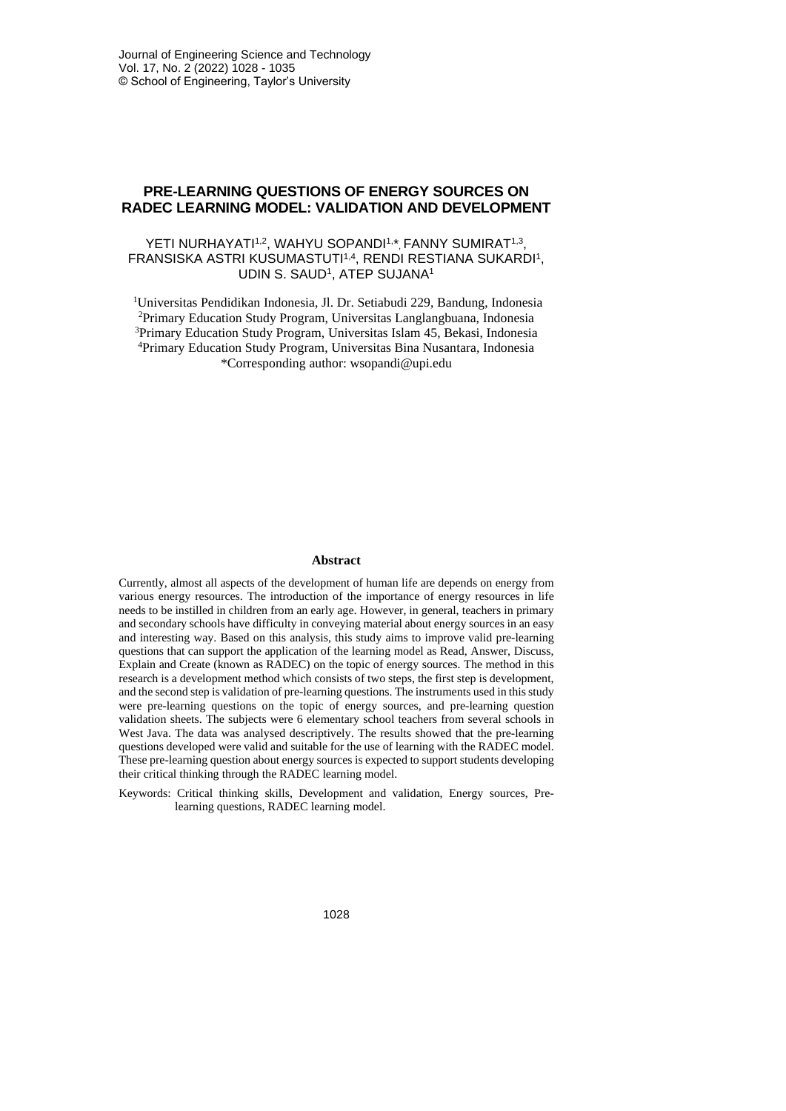# **PRE-LEARNING QUESTIONS OF ENERGY SOURCES ON RADEC LEARNING MODEL: VALIDATION AND DEVELOPMENT**

### YETI NURHAYATI<sup>1,2</sup>, WAHYU SOPANDI<sup>1,\*</sup>, FANNY SUMIRAT<sup>1,3</sup>, FRANSISKA ASTRI KUSUMASTUTI<sup>1,4</sup>, RENDI RESTIANA SUKARDI<sup>1</sup>, UDIN S. SAUD<sup>1</sup>, ATEP SUJANA<sup>1</sup>

Universitas Pendidikan Indonesia, Jl. Dr. Setiabudi 229, Bandung, Indonesia Primary Education Study Program, Universitas Langlangbuana, Indonesia Primary Education Study Program, Universitas Islam 45, Bekasi, Indonesia Primary Education Study Program, Universitas Bina Nusantara, Indonesia \*Corresponding author: wsopandi@upi.edu

#### **Abstract**

Currently, almost all aspects of the development of human life are depends on energy from various energy resources. The introduction of the importance of energy resources in life needs to be instilled in children from an early age. However, in general, teachers in primary and secondary schools have difficulty in conveying material about energy sources in an easy and interesting way. Based on this analysis, this study aims to improve valid pre-learning questions that can support the application of the learning model as Read, Answer, Discuss, Explain and Create (known as RADEC) on the topic of energy sources. The method in this research is a development method which consists of two steps, the first step is development, and the second step is validation of pre-learning questions. The instruments used in this study were pre-learning questions on the topic of energy sources, and pre-learning question validation sheets. The subjects were 6 elementary school teachers from several schools in West Java. The data was analysed descriptively. The results showed that the pre-learning questions developed were valid and suitable for the use of learning with the RADEC model. These pre-learning question about energy sources is expected to support students developing their critical thinking through the RADEC learning model.

Keywords: Critical thinking skills, Development and validation, Energy sources, Prelearning questions, RADEC learning model.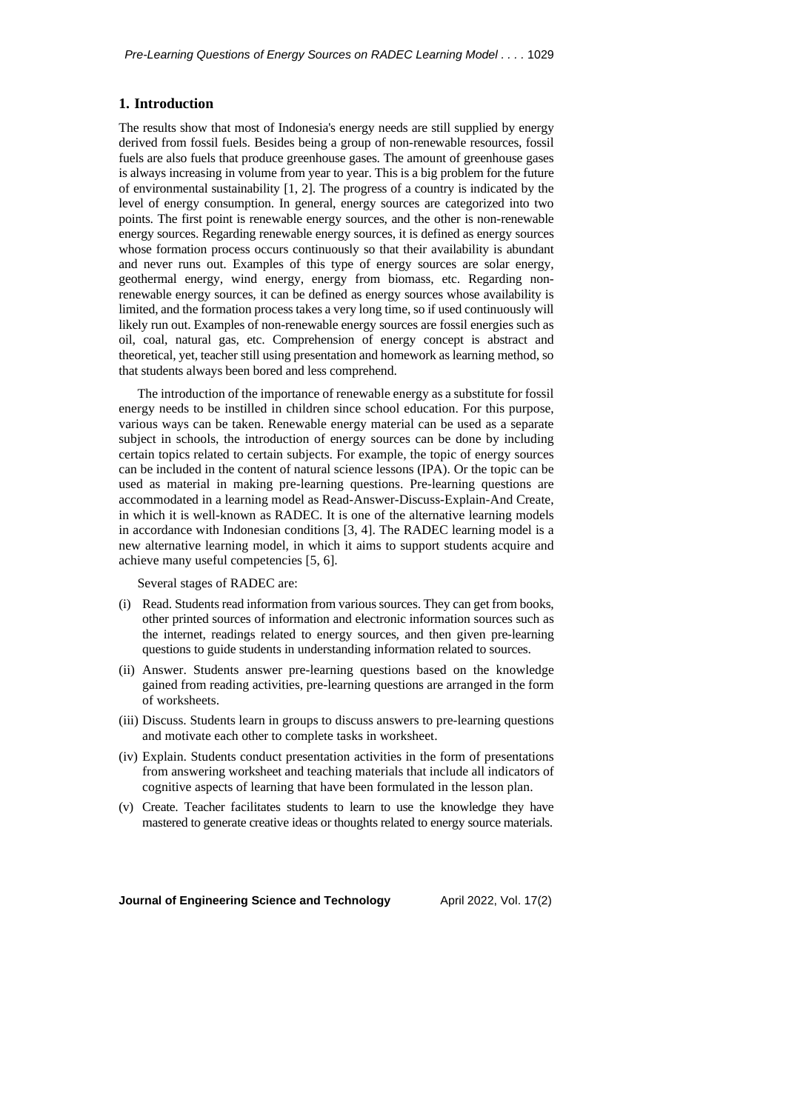### **1. Introduction**

The results show that most of Indonesia's energy needs are still supplied by energy derived from fossil fuels. Besides being a group of non-renewable resources, fossil fuels are also fuels that produce greenhouse gases. The amount of greenhouse gases is always increasing in volume from year to year. This is a big problem for the future of environmental sustainability  $[1, 2]$ . The progress of a country is indicated by the level of energy consumption. In general, energy sources are categorized into two points. The first point is renewable energy sources, and the other is non-renewable energy sources. Regarding renewable energy sources, it is defined as energy sources whose formation process occurs continuously so that their availability is abundant and never runs out. Examples of this type of energy sources are solar energy, geothermal energy, wind energy, energy from biomass, etc. Regarding nonrenewable energy sources, it can be defined as energy sources whose availability is limited, and the formation process takes a very long time, so if used continuously will likely run out. Examples of non-renewable energy sources are fossil energies such as oil, coal, natural gas, etc. Comprehension of energy concept is abstract and theoretical, yet, teacher still using presentation and homework as learning method, so that students always been bored and less comprehend.

The introduction of the importance of renewable energy as a substitute for fossil energy needs to be instilled in children since school education. For this purpose, various ways can be taken. Renewable energy material can be used as a separate subject in schools, the introduction of energy sources can be done by including certain topics related to certain subjects. For example, the topic of energy sources can be included in the content of natural science lessons (IPA). Or the topic can be used as material in making pre-learning questions. Pre-learning questions are accommodated in a learning model as Read-Answer-Discuss-Explain-And Create, in which it is well-known as RADEC. It is one of the alternative learning models in accordance with Indonesian conditions [3, 4]. The RADEC learning model is a new alternative learning model, in which it aims to support students acquire and achieve many useful competencies [5, 6].

Several stages of RADEC are:

- (i) Read. Students read information from various sources. They can get from books, other printed sources of information and electronic information sources such as the internet, readings related to energy sources, and then given pre-learning questions to guide students in understanding information related to sources.
- (ii) Answer. Students answer pre-learning questions based on the knowledge gained from reading activities, pre-learning questions are arranged in the form of worksheets.
- (iii) Discuss. Students learn in groups to discuss answers to pre-learning questions and motivate each other to complete tasks in worksheet.
- (iv) Explain. Students conduct presentation activities in the form of presentations from answering worksheet and teaching materials that include all indicators of cognitive aspects of learning that have been formulated in the lesson plan.
- (v) Create. Teacher facilitates students to learn to use the knowledge they have mastered to generate creative ideas or thoughts related to energy source materials.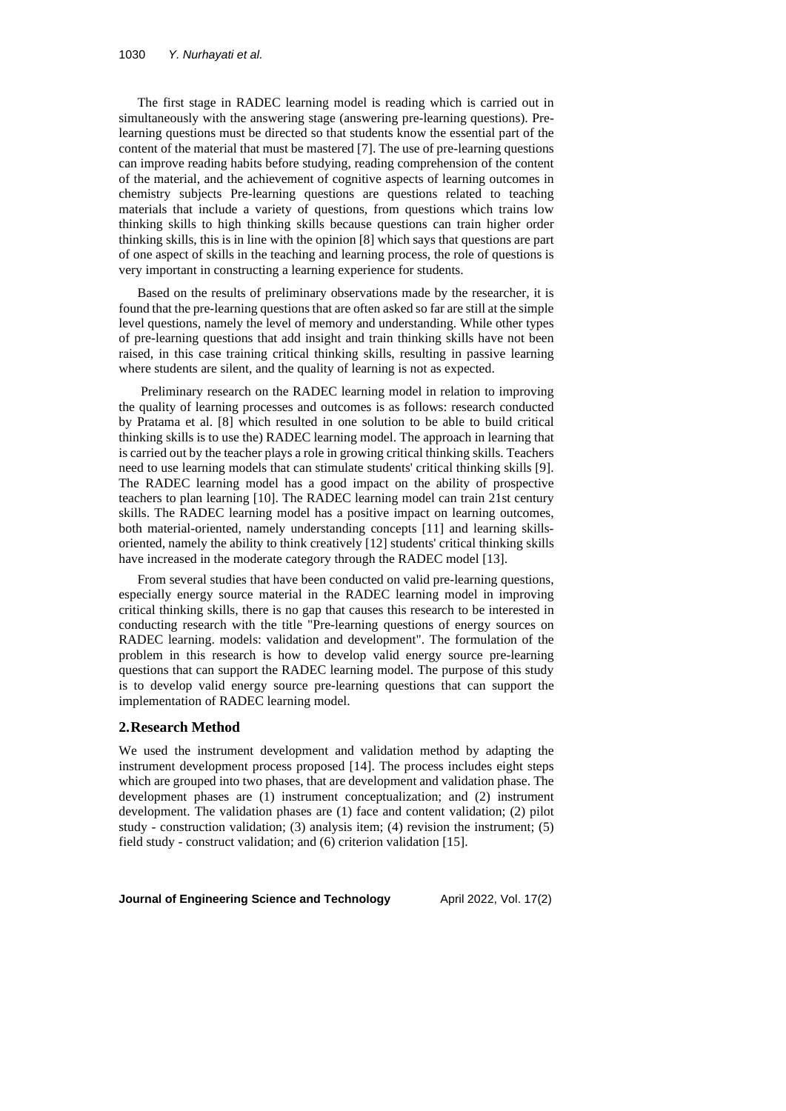The first stage in RADEC learning model is reading which is carried out in simultaneously with the answering stage (answering pre-learning questions). Prelearning questions must be directed so that students know the essential part of the content of the material that must be mastered [7]. The use of pre-learning questions can improve reading habits before studying, reading comprehension of the content of the material, and the achievement of cognitive aspects of learning outcomes in chemistry subjects Pre-learning questions are questions related to teaching materials that include a variety of questions, from questions which trains low thinking skills to high thinking skills because questions can train higher order thinking skills, this is in line with the opinion [8] which says that questions are part of one aspect of skills in the teaching and learning process, the role of questions is very important in constructing a learning experience for students.

Based on the results of preliminary observations made by the researcher, it is found that the pre-learning questions that are often asked so far are still at the simple level questions, namely the level of memory and understanding. While other types of pre-learning questions that add insight and train thinking skills have not been raised, in this case training critical thinking skills, resulting in passive learning where students are silent, and the quality of learning is not as expected.

Preliminary research on the RADEC learning model in relation to improving the quality of learning processes and outcomes is as follows: research conducted by Pratama et al. [8] which resulted in one solution to be able to build critical thinking skills is to use the) RADEC learning model. The approach in learning that is carried out by the teacher plays a role in growing critical thinking skills. Teachers need to use learning models that can stimulate students' critical thinking skills [9]. The RADEC learning model has a good impact on the ability of prospective teachers to plan learning [10]. The RADEC learning model can train 21st century skills. The RADEC learning model has a positive impact on learning outcomes, both material-oriented, namely understanding concepts [11] and learning skillsoriented, namely the ability to think creatively [12] students' critical thinking skills have increased in the moderate category through the RADEC model [13].

From several studies that have been conducted on valid pre-learning questions, especially energy source material in the RADEC learning model in improving critical thinking skills, there is no gap that causes this research to be interested in conducting research with the title "Pre-learning questions of energy sources on RADEC learning. models: validation and development". The formulation of the problem in this research is how to develop valid energy source pre-learning questions that can support the RADEC learning model. The purpose of this study is to develop valid energy source pre-learning questions that can support the implementation of RADEC learning model.

### **2.Research Method**

We used the instrument development and validation method by adapting the instrument development process proposed [14]. The process includes eight steps which are grouped into two phases, that are development and validation phase. The development phases are (1) instrument conceptualization; and (2) instrument development. The validation phases are (1) face and content validation; (2) pilot study - construction validation; (3) analysis item; (4) revision the instrument; (5) field study - construct validation; and (6) criterion validation [15].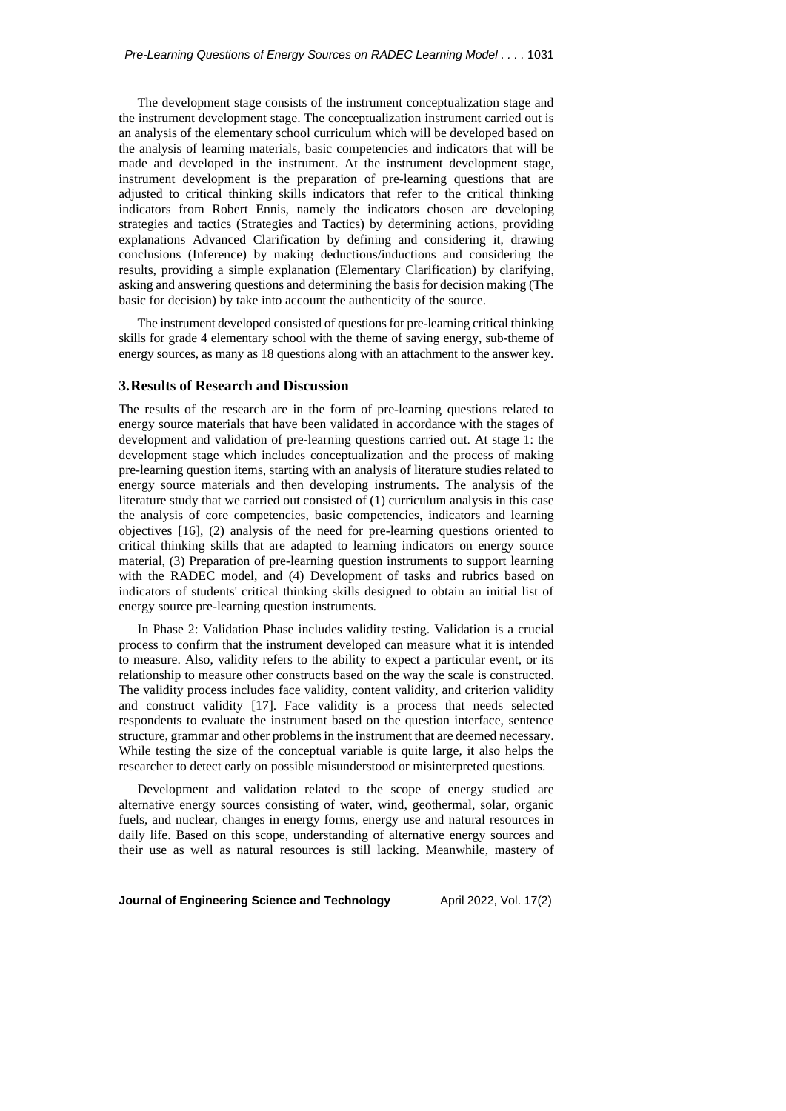The development stage consists of the instrument conceptualization stage and the instrument development stage. The conceptualization instrument carried out is an analysis of the elementary school curriculum which will be developed based on the analysis of learning materials, basic competencies and indicators that will be made and developed in the instrument. At the instrument development stage, instrument development is the preparation of pre-learning questions that are adjusted to critical thinking skills indicators that refer to the critical thinking indicators from Robert Ennis, namely the indicators chosen are developing strategies and tactics (Strategies and Tactics) by determining actions, providing explanations Advanced Clarification by defining and considering it, drawing conclusions (Inference) by making deductions/inductions and considering the results, providing a simple explanation (Elementary Clarification) by clarifying, asking and answering questions and determining the basisfor decision making (The basic for decision) by take into account the authenticity of the source.

The instrument developed consisted of questions for pre-learning critical thinking skills for grade 4 elementary school with the theme of saving energy, sub-theme of energy sources, as many as 18 questions along with an attachment to the answer key.

#### **3.Results of Research and Discussion**

The results of the research are in the form of pre-learning questions related to energy source materials that have been validated in accordance with the stages of development and validation of pre-learning questions carried out. At stage 1: the development stage which includes conceptualization and the process of making pre-learning question items, starting with an analysis of literature studies related to energy source materials and then developing instruments. The analysis of the literature study that we carried out consisted of (1) curriculum analysis in this case the analysis of core competencies, basic competencies, indicators and learning objectives [16], (2) analysis of the need for pre-learning questions oriented to critical thinking skills that are adapted to learning indicators on energy source material, (3) Preparation of pre-learning question instruments to support learning with the RADEC model, and (4) Development of tasks and rubrics based on indicators of students' critical thinking skills designed to obtain an initial list of energy source pre-learning question instruments.

In Phase 2: Validation Phase includes validity testing. Validation is a crucial process to confirm that the instrument developed can measure what it is intended to measure. Also, validity refers to the ability to expect a particular event, or its relationship to measure other constructs based on the way the scale is constructed. The validity process includes face validity, content validity, and criterion validity and construct validity [17]. Face validity is a process that needs selected respondents to evaluate the instrument based on the question interface, sentence structure, grammar and other problemsin the instrument that are deemed necessary. While testing the size of the conceptual variable is quite large, it also helps the researcher to detect early on possible misunderstood or misinterpreted questions.

Development and validation related to the scope of energy studied are alternative energy sources consisting of water, wind, geothermal, solar, organic fuels, and nuclear, changes in energy forms, energy use and natural resources in daily life. Based on this scope, understanding of alternative energy sources and their use as well as natural resources is still lacking. Meanwhile, mastery of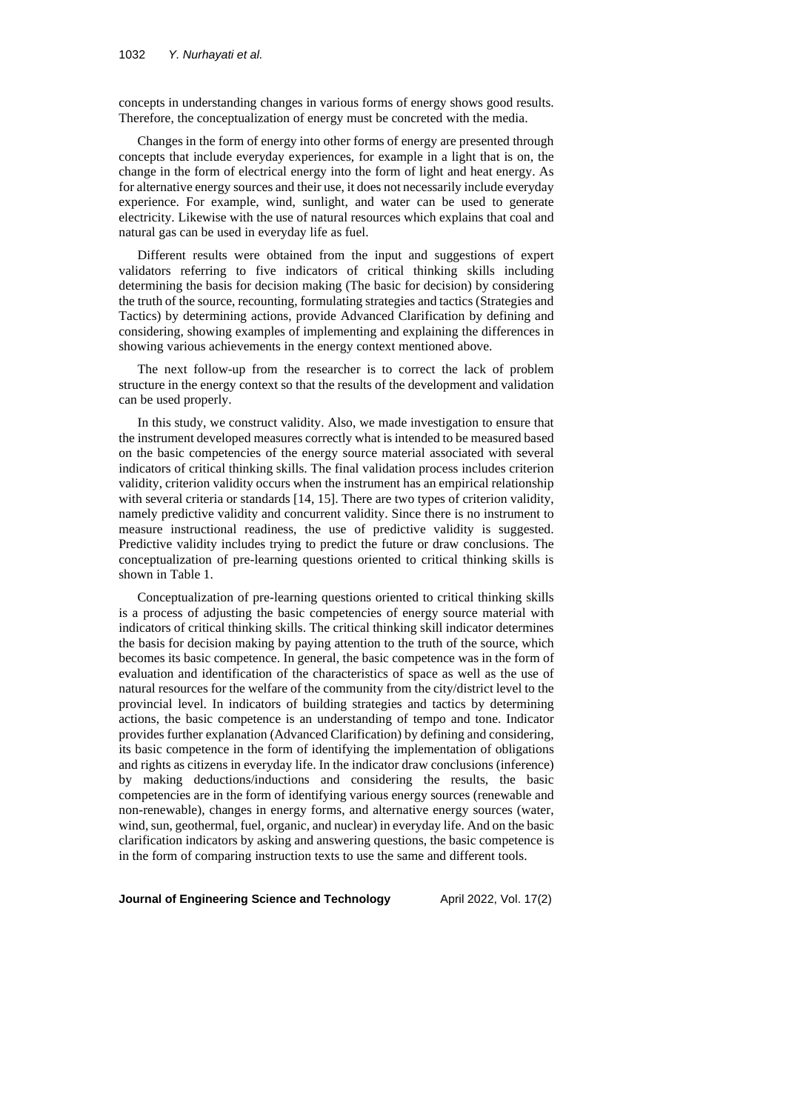concepts in understanding changes in various forms of energy shows good results. Therefore, the conceptualization of energy must be concreted with the media.

Changes in the form of energy into other forms of energy are presented through concepts that include everyday experiences, for example in a light that is on, the change in the form of electrical energy into the form of light and heat energy. As for alternative energy sources and their use, it does not necessarily include everyday experience. For example, wind, sunlight, and water can be used to generate electricity. Likewise with the use of natural resources which explains that coal and natural gas can be used in everyday life as fuel.

Different results were obtained from the input and suggestions of expert validators referring to five indicators of critical thinking skills including determining the basis for decision making (The basic for decision) by considering the truth of the source, recounting, formulating strategies and tactics (Strategies and Tactics) by determining actions, provide Advanced Clarification by defining and considering, showing examples of implementing and explaining the differences in showing various achievements in the energy context mentioned above.

The next follow-up from the researcher is to correct the lack of problem structure in the energy context so that the results of the development and validation can be used properly.

In this study, we construct validity. Also, we made investigation to ensure that the instrument developed measures correctly what is intended to be measured based on the basic competencies of the energy source material associated with several indicators of critical thinking skills. The final validation process includes criterion validity, criterion validity occurs when the instrument has an empirical relationship with several criteria or standards [14, 15]. There are two types of criterion validity, namely predictive validity and concurrent validity. Since there is no instrument to measure instructional readiness, the use of predictive validity is suggested. Predictive validity includes trying to predict the future or draw conclusions. The conceptualization of pre-learning questions oriented to critical thinking skills is shown in Table 1.

Conceptualization of pre-learning questions oriented to critical thinking skills is a process of adjusting the basic competencies of energy source material with indicators of critical thinking skills. The critical thinking skill indicator determines the basis for decision making by paying attention to the truth of the source, which becomes its basic competence. In general, the basic competence was in the form of evaluation and identification of the characteristics of space as well as the use of natural resources for the welfare of the community from the city/district level to the provincial level. In indicators of building strategies and tactics by determining actions, the basic competence is an understanding of tempo and tone. Indicator provides further explanation (Advanced Clarification) by defining and considering, its basic competence in the form of identifying the implementation of obligations and rights as citizens in everyday life. In the indicator draw conclusions (inference) by making deductions/inductions and considering the results, the basic competencies are in the form of identifying various energy sources (renewable and non-renewable), changes in energy forms, and alternative energy sources (water, wind, sun, geothermal, fuel, organic, and nuclear) in everyday life. And on the basic clarification indicators by asking and answering questions, the basic competence is in the form of comparing instruction texts to use the same and different tools.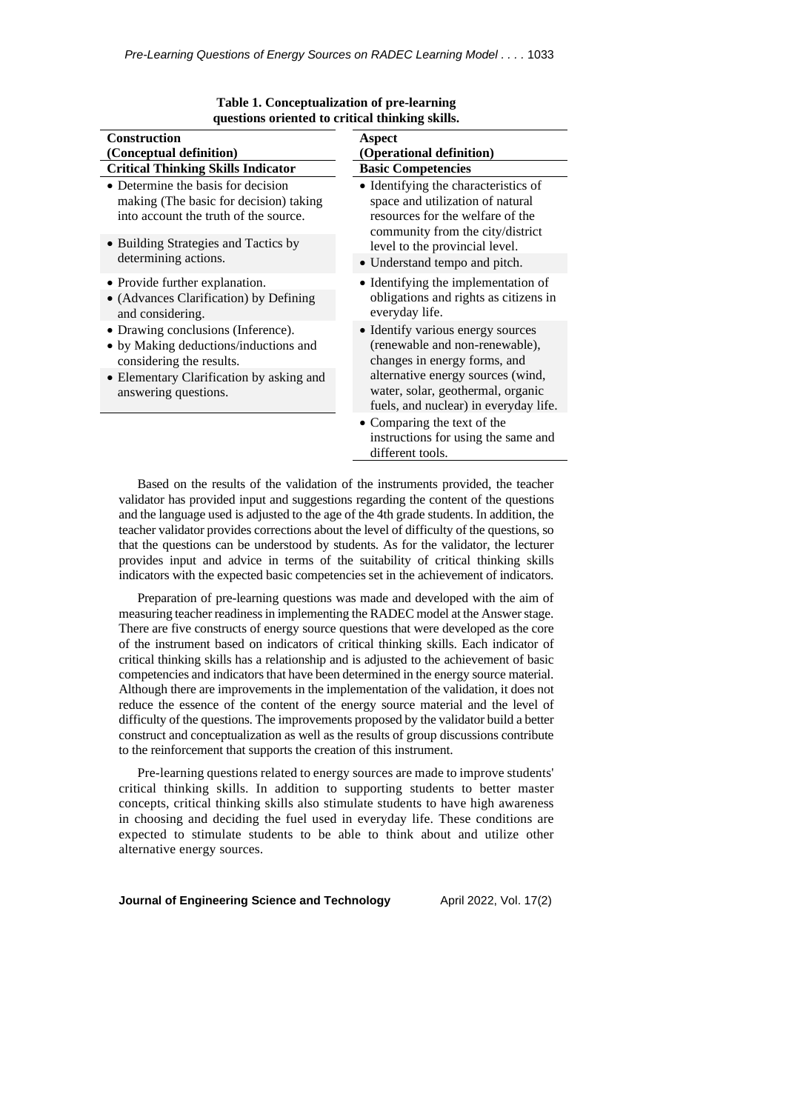| questions oriented to critical thinking skins.                                                                                                                              |                                                                                                                                                                                                                        |
|-----------------------------------------------------------------------------------------------------------------------------------------------------------------------------|------------------------------------------------------------------------------------------------------------------------------------------------------------------------------------------------------------------------|
| <b>Construction</b><br>(Conceptual definition)                                                                                                                              | <b>Aspect</b><br>(Operational definition)                                                                                                                                                                              |
| <b>Critical Thinking Skills Indicator</b>                                                                                                                                   | <b>Basic Competencies</b>                                                                                                                                                                                              |
| • Determine the basis for decision<br>making (The basic for decision) taking<br>into account the truth of the source.                                                       | • Identifying the characteristics of<br>space and utilization of natural<br>resources for the welfare of the<br>community from the city/district                                                                       |
| • Building Strategies and Tactics by<br>determining actions.                                                                                                                | level to the provincial level.                                                                                                                                                                                         |
|                                                                                                                                                                             | • Understand tempo and pitch.                                                                                                                                                                                          |
| • Provide further explanation.<br>• (Advances Clarification) by Defining<br>and considering.                                                                                | • Identifying the implementation of<br>obligations and rights as citizens in<br>everyday life.                                                                                                                         |
| • Drawing conclusions (Inference).<br>• by Making deductions/inductions and<br>considering the results.<br>• Elementary Clarification by asking and<br>answering questions. | • Identify various energy sources<br>(renewable and non-renewable),<br>changes in energy forms, and<br>alternative energy sources (wind,<br>water, solar, geothermal, organic<br>fuels, and nuclear) in everyday life. |
|                                                                                                                                                                             | • Comparing the text of the<br>instructions for using the same and<br>different tools.                                                                                                                                 |

| Table 1. Conceptualization of pre-learning      |
|-------------------------------------------------|
| questions oriented to critical thinking skills. |

Based on the results of the validation of the instruments provided, the teacher validator has provided input and suggestions regarding the content of the questions and the language used is adjusted to the age of the 4th grade students. In addition, the teacher validator provides corrections about the level of difficulty of the questions, so that the questions can be understood by students. As for the validator, the lecturer provides input and advice in terms of the suitability of critical thinking skills indicators with the expected basic competencies set in the achievement of indicators.

Preparation of pre-learning questions was made and developed with the aim of measuring teacher readiness in implementing the RADEC model at the Answer stage. There are five constructs of energy source questions that were developed as the core of the instrument based on indicators of critical thinking skills. Each indicator of critical thinking skills has a relationship and is adjusted to the achievement of basic competencies and indicators that have been determined in the energy source material. Although there are improvements in the implementation of the validation, it does not reduce the essence of the content of the energy source material and the level of difficulty of the questions. The improvements proposed by the validator build a better construct and conceptualization as well as the results of group discussions contribute to the reinforcement that supports the creation of this instrument.

Pre-learning questions related to energy sources are made to improve students' critical thinking skills. In addition to supporting students to better master concepts, critical thinking skills also stimulate students to have high awareness in choosing and deciding the fuel used in everyday life. These conditions are expected to stimulate students to be able to think about and utilize other alternative energy sources.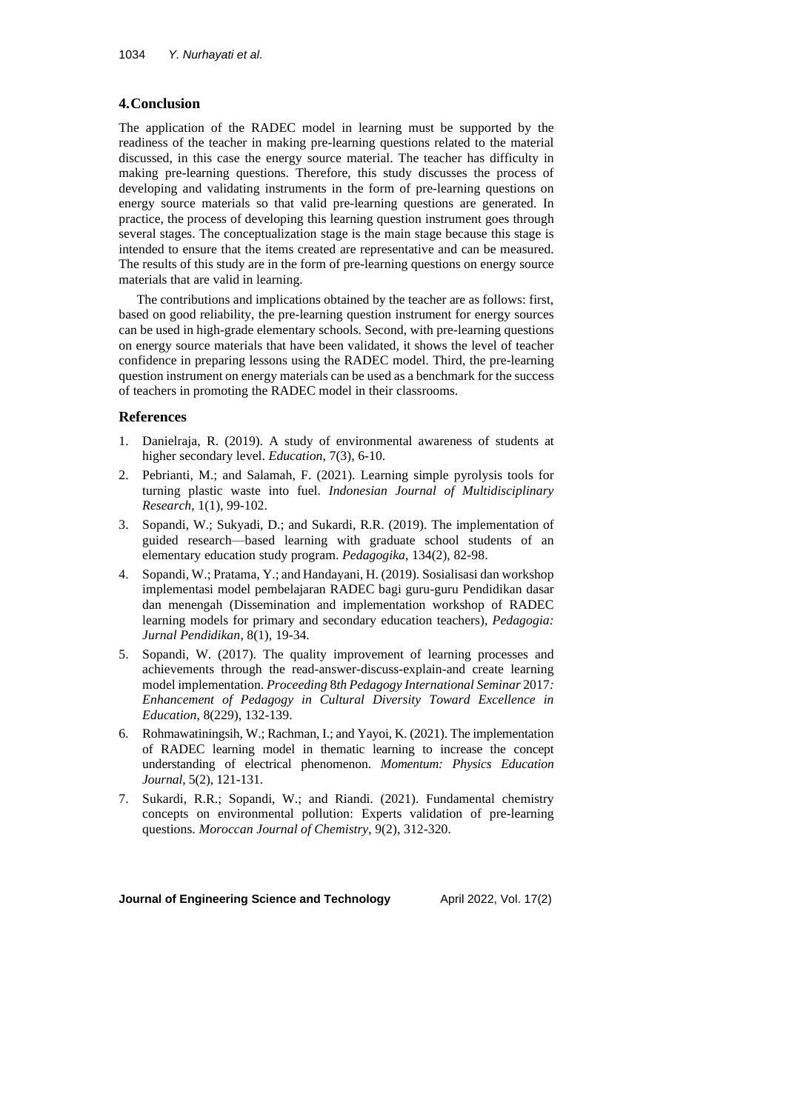## **4.Conclusion**

The application of the RADEC model in learning must be supported by the readiness of the teacher in making pre-learning questions related to the material discussed, in this case the energy source material. The teacher has difficulty in making pre-learning questions. Therefore, this study discusses the process of developing and validating instruments in the form of pre-learning questions on energy source materials so that valid pre-learning questions are generated. In practice, the process of developing this learning question instrument goes through several stages. The conceptualization stage is the main stage because this stage is intended to ensure that the items created are representative and can be measured. The results of this study are in the form of pre-learning questions on energy source materials that are valid in learning.

The contributions and implications obtained by the teacher are as follows: first, based on good reliability, the pre-learning question instrument for energy sources can be used in high-grade elementary schools. Second, with pre-learning questions on energy source materials that have been validated, it shows the level of teacher confidence in preparing lessons using the RADEC model. Third, the pre-learning question instrument on energy materials can be used as a benchmark for the success of teachers in promoting the RADEC model in their classrooms.

### **References**

- 1. Danielraja, R. (2019). A study of environmental awareness of students at higher secondary level. *Education*, 7(3), 6-10.
- 2. Pebrianti, M.; and Salamah, F. (2021). Learning simple pyrolysis tools for turning plastic waste into fuel. *Indonesian Journal of Multidisciplinary Research*, 1(1), 99-102.
- 3. Sopandi, W.; Sukyadi, D.; and Sukardi, R.R. (2019). The implementation of guided research—based learning with graduate school students of an elementary education study program. *Pedagogika*, 134(2), 82-98.
- 4. Sopandi, W.; Pratama, Y.; and Handayani, H. (2019). Sosialisasi dan workshop implementasi model pembelajaran RADEC bagi guru-guru Pendidikan dasar dan menengah (Dissemination and implementation workshop of RADEC learning models for primary and secondary education teachers), *Pedagogia: Jurnal Pendidikan*, 8(1), 19-34.
- 5. Sopandi, W. (2017). The quality improvement of learning processes and achievements through the read-answer-discuss-explain-and create learning model implementation. *Proceeding* 8*th Pedagogy International Seminar* 2017*: Enhancement of Pedagogy in Cultural Diversity Toward Excellence in Education*, 8(229), 132-139.
- 6. Rohmawatiningsih, W.; Rachman, I.; and Yayoi, K. (2021). The implementation of RADEC learning model in thematic learning to increase the concept understanding of electrical phenomenon. *Momentum: Physics Education Journal*, 5(2), 121-131.
- 7. Sukardi, R.R.; Sopandi, W.; and Riandi. (2021). Fundamental chemistry concepts on environmental pollution: Experts validation of pre-learning questions. *Moroccan Journal of Chemistry*, 9(2), 312-320.